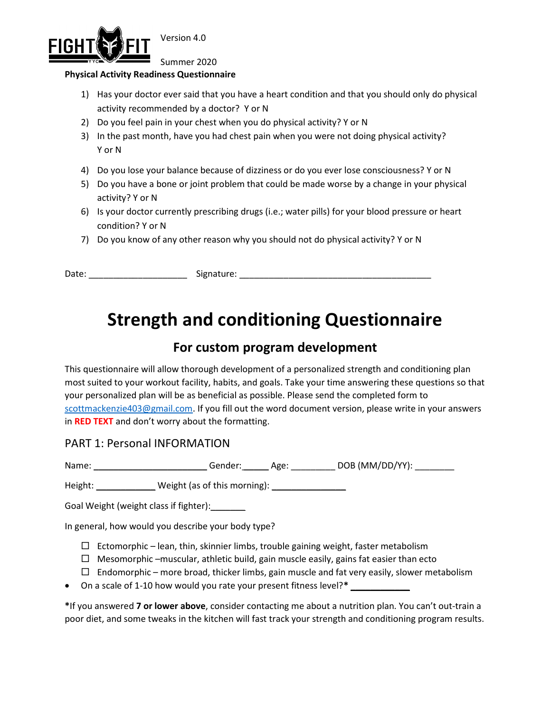

Version 4.0

Summer 2020

#### Physical Activity Readiness Questionnaire

- 1) Has your doctor ever said that you have a heart condition and that you should only do physical activity recommended by a doctor? Y or N
- 2) Do you feel pain in your chest when you do physical activity? Y or N
- 3) In the past month, have you had chest pain when you were not doing physical activity? Y or N
- 4) Do you lose your balance because of dizziness or do you ever lose consciousness? Y or N
- 5) Do you have a bone or joint problem that could be made worse by a change in your physical activity? Y or N
- 6) Is your doctor currently prescribing drugs (i.e.; water pills) for your blood pressure or heart condition? Y or N
- 7) Do you know of any other reason why you should not do physical activity? Y or N

Date: \_\_\_\_\_\_\_\_\_\_\_\_\_\_\_\_\_\_\_\_\_\_\_\_\_\_\_\_\_\_\_\_\_\_Signature: \_\_\_\_\_\_\_\_\_\_\_\_\_\_\_\_\_\_\_\_\_\_\_\_\_\_\_\_\_\_

# Strength and conditioning Questionnaire

# For custom program development

This questionnaire will allow thorough development of a personalized strength and conditioning plan most suited to your workout facility, habits, and goals. Take your time answering these questions so that your personalized plan will be as beneficial as possible. Please send the completed form to scottmackenzie403@gmail.com. If you fill out the word document version, please write in your answers in RED TEXT and don't worry about the formatting.

### PART 1: Personal INFORMATION

Name: \_\_\_\_\_\_\_\_\_\_\_\_\_\_\_\_\_\_\_\_\_\_\_\_\_\_\_\_\_\_\_Gender: \_\_\_\_\_\_\_\_\_ Age: \_\_\_\_\_\_\_\_\_\_\_ DOB (MM/DD/YY): \_\_\_\_\_\_\_\_\_\_\_

Height: \_\_\_\_\_\_\_\_\_\_\_\_\_\_\_ Weight (as of this morning): \_\_\_\_\_\_\_\_\_\_

Goal Weight (weight class if fighter):

In general, how would you describe your body type?

- $\Box$  Ectomorphic lean, thin, skinnier limbs, trouble gaining weight, faster metabolism
- $\Box$  Mesomorphic –muscular, athletic build, gain muscle easily, gains fat easier than ecto
- $\Box$  Endomorphic more broad, thicker limbs, gain muscle and fat very easily, slower metabolism
- On a scale of 1-10 how would you rate your present fitness level?\*

\*If you answered 7 or lower above, consider contacting me about a nutrition plan. You can't out-train a poor diet, and some tweaks in the kitchen will fast track your strength and conditioning program results.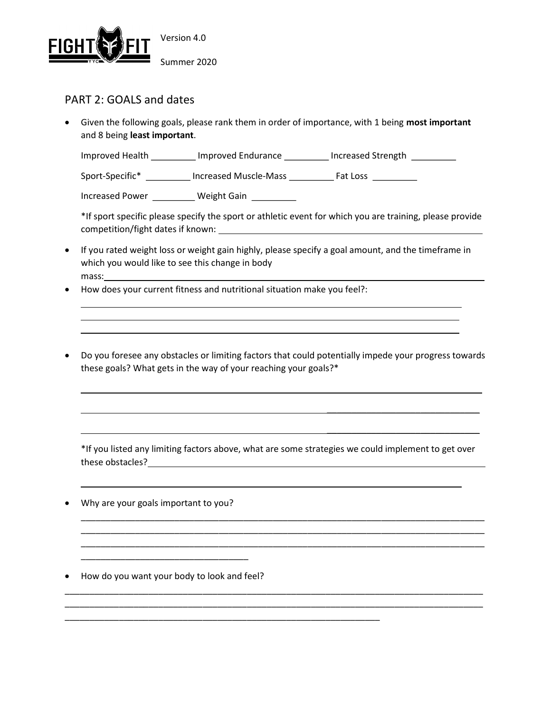

## PART 2: GOALS and dates

 $\overline{a}$  $\overline{a}$ 

 $\overline{a}$ 

• Given the following goals, please rank them in order of importance, with 1 being most important and 8 being least important.

Improved Health \_\_\_\_\_\_\_\_\_\_ Improved Endurance \_\_\_\_\_\_\_\_\_ Increased Strength \_\_\_\_\_\_\_\_\_

Sport-Specific\* \_\_\_\_\_\_\_\_\_ Increased Muscle-Mass \_\_\_\_\_\_\_\_\_ Fat Loss \_\_\_\_\_\_\_\_\_

Increased Power \_\_\_\_\_\_\_\_\_\_ Weight Gain \_\_\_\_\_\_\_\_\_

\*If sport specific please specify the sport or athletic event for which you are training, please provide competition/fight dates if known:

- If you rated weight loss or weight gain highly, please specify a goal amount, and the timeframe in which you would like to see this change in body mass:
- How does your current fitness and nutritional situation make you feel?:
- Do you foresee any obstacles or limiting factors that could potentially impede your progress towards these goals? What gets in the way of your reaching your goals?\*

 $\overline{\phantom{a}}$  , and the contract of the contract of the contract of the contract of the contract of the contract of the contract of the contract of the contract of the contract of the contract of the contract of the contrac

\*If you listed any limiting factors above, what are some strategies we could implement to get over these obstacles?

\_\_\_\_\_\_\_\_\_\_\_\_\_\_\_\_\_\_\_\_\_\_\_\_\_\_\_\_\_\_\_\_\_\_\_\_\_\_\_\_\_\_\_\_\_\_\_\_\_\_\_\_\_\_\_\_\_\_\_\_\_\_\_\_\_\_\_\_\_\_\_\_\_\_\_\_\_\_\_\_\_\_ \_\_\_\_\_\_\_\_\_\_\_\_\_\_\_\_\_\_\_\_\_\_\_\_\_\_\_\_\_\_\_\_\_\_\_\_\_\_\_\_\_\_\_\_\_\_\_\_\_\_\_\_\_\_\_\_\_\_\_\_\_\_\_\_\_\_\_\_\_\_\_\_\_\_\_\_\_\_\_\_\_\_ \_\_\_\_\_\_\_\_\_\_\_\_\_\_\_\_\_\_\_\_\_\_\_\_\_\_\_\_\_\_\_\_\_\_\_\_\_\_\_\_\_\_\_\_\_\_\_\_\_\_\_\_\_\_\_\_\_\_\_\_\_\_\_\_\_\_\_\_\_\_\_\_\_\_\_\_\_\_\_\_\_\_

\_\_\_\_\_\_\_\_\_\_\_\_\_\_\_\_\_\_\_\_\_\_\_\_\_\_\_\_\_\_\_\_\_\_\_\_\_\_\_\_\_\_\_\_\_\_\_\_\_\_\_\_\_\_\_\_\_\_\_\_\_\_\_\_\_\_\_\_\_\_\_\_\_\_\_\_\_\_\_\_\_\_\_\_\_ \_\_\_\_\_\_\_\_\_\_\_\_\_\_\_\_\_\_\_\_\_\_\_\_\_\_\_\_\_\_\_\_\_\_\_\_\_\_\_\_\_\_\_\_\_\_\_\_\_\_\_\_\_\_\_\_\_\_\_\_\_\_\_\_\_\_\_\_\_\_\_\_\_\_\_\_\_\_\_\_\_\_\_\_\_

\_\_\_\_\_\_\_\_\_\_\_\_\_\_\_\_\_\_\_\_\_\_\_\_\_\_\_\_\_\_\_\_\_\_\_\_\_\_\_\_\_\_\_\_\_\_\_\_\_\_\_\_\_\_\_\_\_\_\_\_\_\_\_\_

 $\frac{1}{2}$  ,  $\frac{1}{2}$  ,  $\frac{1}{2}$  ,  $\frac{1}{2}$  ,  $\frac{1}{2}$  ,  $\frac{1}{2}$  ,  $\frac{1}{2}$  ,  $\frac{1}{2}$  ,  $\frac{1}{2}$  ,  $\frac{1}{2}$  ,  $\frac{1}{2}$  ,  $\frac{1}{2}$  ,  $\frac{1}{2}$  ,  $\frac{1}{2}$  ,  $\frac{1}{2}$  ,  $\frac{1}{2}$  ,  $\frac{1}{2}$  ,  $\frac{1}{2}$  ,  $\frac{1$ 

Why are your goals important to you?

How do you want your body to look and feel?

\_\_\_\_\_\_\_\_\_\_\_\_\_\_\_\_\_\_\_\_\_\_\_\_\_\_\_\_\_\_\_\_\_\_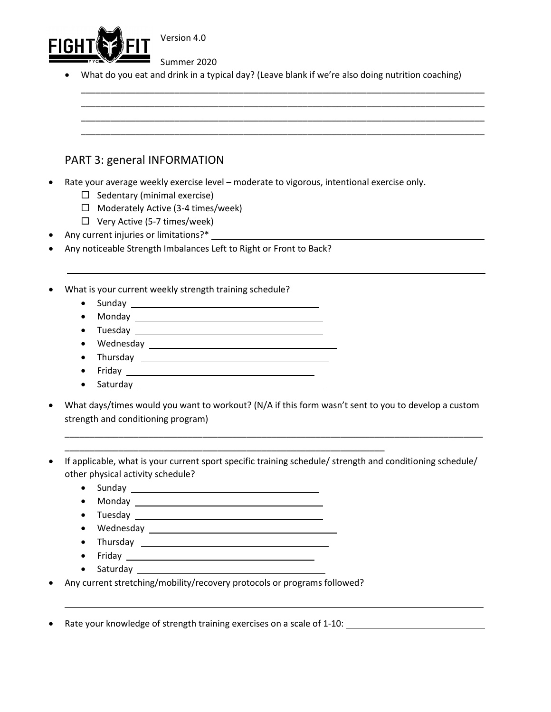

Version 4.0

Summer 2020

What do you eat and drink in a typical day? (Leave blank if we're also doing nutrition coaching)

\_\_\_\_\_\_\_\_\_\_\_\_\_\_\_\_\_\_\_\_\_\_\_\_\_\_\_\_\_\_\_\_\_\_\_\_\_\_\_\_\_\_\_\_\_\_\_\_\_\_\_\_\_\_\_\_\_\_\_\_\_\_\_\_\_\_\_\_\_\_\_\_\_\_\_\_\_\_\_\_\_\_ \_\_\_\_\_\_\_\_\_\_\_\_\_\_\_\_\_\_\_\_\_\_\_\_\_\_\_\_\_\_\_\_\_\_\_\_\_\_\_\_\_\_\_\_\_\_\_\_\_\_\_\_\_\_\_\_\_\_\_\_\_\_\_\_\_\_\_\_\_\_\_\_\_\_\_\_\_\_\_\_\_\_ \_\_\_\_\_\_\_\_\_\_\_\_\_\_\_\_\_\_\_\_\_\_\_\_\_\_\_\_\_\_\_\_\_\_\_\_\_\_\_\_\_\_\_\_\_\_\_\_\_\_\_\_\_\_\_\_\_\_\_\_\_\_\_\_\_\_\_\_\_\_\_\_\_\_\_\_\_\_\_\_\_\_ \_\_\_\_\_\_\_\_\_\_\_\_\_\_\_\_\_\_\_\_\_\_\_\_\_\_\_\_\_\_\_\_\_\_\_\_\_\_\_\_\_\_\_\_\_\_\_\_\_\_\_\_\_\_\_\_\_\_\_\_\_\_\_\_\_\_\_\_\_\_\_\_\_\_\_\_\_\_\_\_\_\_

## PART 3: general INFORMATION

- Rate your average weekly exercise level moderate to vigorous, intentional exercise only.
	- $\Box$  Sedentary (minimal exercise)
	- $\Box$  Moderately Active (3-4 times/week)
	- $\Box$  Very Active (5-7 times/week)
- Any current injuries or limitations?\*
- Any noticeable Strength Imbalances Left to Right or Front to Back?
- What is your current weekly strength training schedule?
	- Sunday  $\qquad \qquad$

l.

- Monday
- Tuesday
- Wednesday
- Thursday **Example 2018**
- Friday <u>Canadian American State of Bander and State of Bander and State of Bander and State of Bander and State of Bander and State of Bander and State of Bander and State of Bander and State of Bander and State of Bande</u>
- Saturday experience and the same state of the state of the state of the state of the state of the state of the state of the state of the state of the state of the state of the state of the state of the state of the state
- What days/times would you want to workout? (N/A if this form wasn't sent to you to develop a custom strength and conditioning program)

\_\_\_\_\_\_\_\_\_\_\_\_\_\_\_\_\_\_\_\_\_\_\_\_\_\_\_\_\_\_\_\_\_\_\_\_\_\_\_\_\_\_\_\_\_\_\_\_\_\_\_\_\_\_\_\_\_\_\_\_\_\_\_\_\_\_\_\_\_\_\_\_\_\_\_\_\_\_\_\_\_\_\_\_\_

- If applicable, what is your current sport specific training schedule/ strength and conditioning schedule/ other physical activity schedule?
	- Sunday
	- Monday 2008 2012 2022 2022 2023 2024 2022 2022 2023 2024 2022 2023 2024 2022 2023 2024 2025 2026 2027 2028 20

\_\_\_\_\_\_\_\_\_\_\_\_\_\_\_\_\_\_\_\_\_\_\_\_\_\_\_\_\_\_\_\_\_\_\_\_\_\_\_\_\_\_\_\_\_\_\_\_\_\_\_\_\_\_\_\_\_\_\_\_\_\_\_\_\_

- Tuesday **Exercise Service Service Service Service Service Service Service Service Service Service Service Service Service Service Service Service Service Service Service Service Service Service Service Service Service Se**
- Wednesday
- Thursday

 $\overline{a}$ 

- Friday <u>2008 Parameter and the State of Bander and State and Taures and Taures and Taures and Taures and Taures and Taures and Taures and Taures and Taures and Taures and Taures and Taures and Taures and Taures and Tau</u>
- Saturday \_ state of the state of the state of the state of the state of the state of the state of the state of the state of the state of the state of the state of the state of the state of the state of the state of the s
- Any current stretching/mobility/recovery protocols or programs followed?

Rate your knowledge of strength training exercises on a scale of 1-10: \_\_\_\_\_\_\_\_\_\_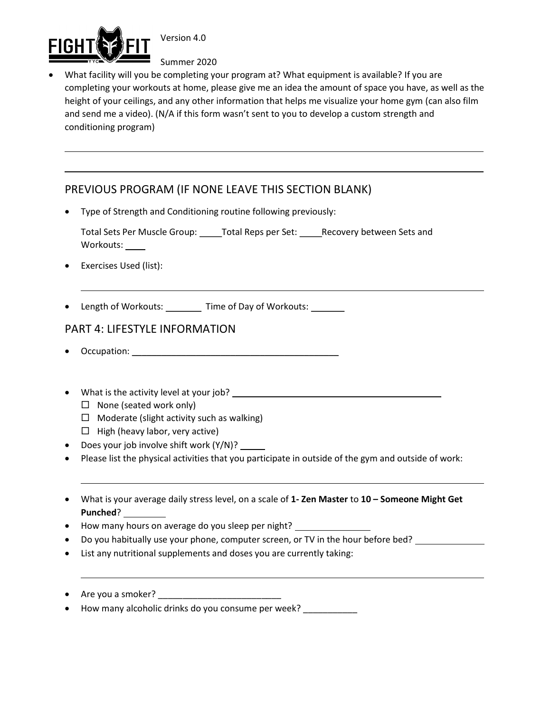

 $\overline{a}$ 

Version 4.0

Summer 2020

 What facility will you be completing your program at? What equipment is available? If you are completing your workouts at home, please give me an idea the amount of space you have, as well as the height of your ceilings, and any other information that helps me visualize your home gym (can also film and send me a video). (N/A if this form wasn't sent to you to develop a custom strength and conditioning program)

# PREVIOUS PROGRAM (IF NONE LEAVE THIS SECTION BLANK)

- Type of Strength and Conditioning routine following previously:
	- Total Sets Per Muscle Group: \_\_\_\_\_ Total Reps per Set: \_\_\_\_\_ Recovery between Sets and Workouts: \_\_\_\_\_
- Exercises Used (list):

 $\overline{a}$ 

 $\overline{a}$ 

 $\overline{a}$ 

• Length of Workouts: \_\_\_\_\_\_\_ Time of Day of Workouts: \_\_\_\_\_\_

# PART 4: LIFESTYLE INFORMATION

- Occupation: \_\_\_\_\_\_\_\_\_\_\_\_\_\_\_\_\_\_\_\_\_\_\_\_\_\_\_\_\_\_\_\_\_\_\_\_\_\_\_\_\_\_
- What is the activity level at your job? \_\_\_\_\_\_\_\_\_\_\_\_\_\_\_\_\_\_\_\_\_\_\_\_\_\_\_\_\_\_\_\_\_\_\_\_\_\_\_\_\_\_
	- $\Box$  None (seated work only)
	- $\Box$  Moderate (slight activity such as walking)
	- $\Box$  High (heavy labor, very active)
- Does your job involve shift work (Y/N)? \_\_\_\_\_
- Please list the physical activities that you participate in outside of the gym and outside of work:
- What is your average daily stress level, on a scale of 1- Zen Master to 10 Someone Might Get Punched?
- How many hours on average do you sleep per night?
- Do you habitually use your phone, computer screen, or TV in the hour before bed?
- List any nutritional supplements and doses you are currently taking:
- Are you a smoker?  $\frac{1}{\sqrt{1-\frac{1}{2}}}\$
- How many alcoholic drinks do you consume per week? \_\_\_\_\_\_\_\_\_\_\_